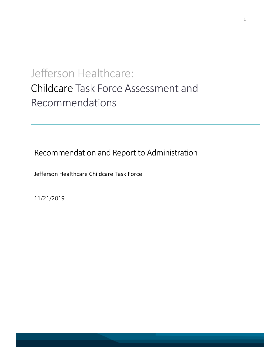# Jefferson Healthcare: Childcare Task Force Assessment and Recommendations

Recommendation and Report to Administration

Jefferson Healthcare Childcare Task Force

11/21/2019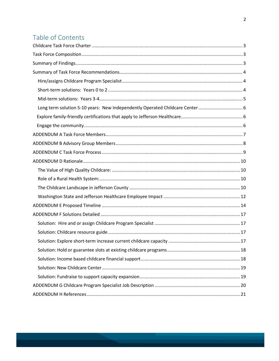# Table of Contents

| Long term solution 5-10 years: New Independently Operated Childcare Center |  |
|----------------------------------------------------------------------------|--|
|                                                                            |  |
|                                                                            |  |
|                                                                            |  |
|                                                                            |  |
|                                                                            |  |
|                                                                            |  |
|                                                                            |  |
|                                                                            |  |
|                                                                            |  |
|                                                                            |  |
|                                                                            |  |
|                                                                            |  |
|                                                                            |  |
|                                                                            |  |
|                                                                            |  |
|                                                                            |  |
|                                                                            |  |
|                                                                            |  |
|                                                                            |  |
|                                                                            |  |
|                                                                            |  |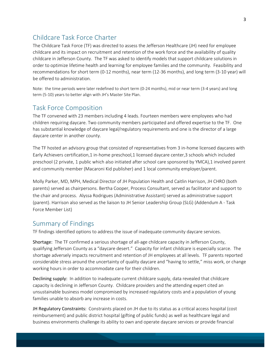## <span id="page-2-0"></span>Childcare Task Force Charter

The Childcare Task Force (TF) was directed to assess the Jefferson Healthcare (JH) need for employee childcare and its impact on recruitment and retention of the work force and the availability of quality childcare in Jefferson County. The TF was asked to identify models that support childcare solutions in order to optimize lifetime health and learning for employee families and the community. Feasibility and recommendations for short term (0-12 months), near term (12-36 months), and long term (3-10 year) will be offered to administration.

Note: the time periods were later redefined to short term (0-24 months), mid or near term (3-4 years) and long term (5-10) years to better align with JH's Master Site Plan.

## <span id="page-2-1"></span>Task Force Composition

The TF convened with 23 members including 4 leads. Fourteen members were employees who had children requiring daycare. Two community members participated and offered expertise to the TF. One has substantial knowledge of daycare legal/regulatory requirements and one is the director of a large daycare center in another county.

The TF hosted an advisory group that consisted of representatives from 3 in-home licensed daycares with Early Achievers certification,1 in-home preschool,1 licensed daycare center,3 schools which included preschool (2 private, 1 public which also initiated after school care sponsored by YMCA),1 involved parent and community member (Macaroni Kid publisher) and 1 local community employer/parent.

Molly Parker, MD, MPH, Medical Director of JH Population Health and Caitlin Harrison, JH CHRO (both parents) served as chairpersons. Bertha Cooper, Process Consultant, served as facilitator and support to the chair and process. Alyssa Rodrigues (Administrative Assistant) served as administrative support (parent). Harrison also served as the liaison to JH Senior Leadership Group (SLG) (Addendum A - Task Force Member List)

## <span id="page-2-2"></span>Summary of Findings

TF findings identified options to address the issue of inadequate community daycare services.

Shortage: The TF confirmed a serious shortage of all-age childcare capacity in Jefferson County, qualifying Jefferson County as a "daycare desert." Capacity for infant childcare is especially scarce. The shortage adversely impacts recruitment and retention of JH employees at all levels. TF parents reported considerable stress around the uncertainty of quality daycare and "having to settle," miss work, or change working hours in order to accommodate care for their children.

Declining supply: In addition to inadequate current childcare supply, data revealed that childcare capacity is declining in Jefferson County. Childcare providers and the attending expert cited an unsustainable business model compromised by increased regulatory costs and a population of young families unable to absorb any increase in costs.

JH Regulatory Constraints: Constraints placed on JH due to its status as a critical access hospital (cost reimbursement) and public district hospital (gifting of public funds) as well as healthcare legal and business environments challenge its ability to own and operate daycare services or provide financial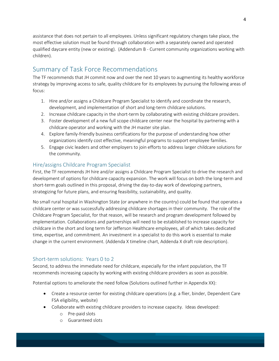assistance that does not pertain to all employees. Unless significant regulatory changes take place, the most effective solution must be found through collaboration with a separately owned and operated qualified daycare entity (new or existing). (Addendum B - Current community organizations working with children).

## <span id="page-3-0"></span>Summary of Task Force Recommendations

The TF recommends that JH commit now and over the next 10 years to augmenting its healthy workforce strategy by improving access to safe, quality childcare for its employees by pursuing the following areas of focus:

- 1. Hire and/or assigns a Childcare Program Specialist to identify and coordinate the research, development, and implementation of short and long-term childcare solutions.
- 2. Increase childcare capacity in the short-term by collaborating with existing childcare providers.
- 3. Foster development of a new full scope childcare center near the hospital by partnering with a childcare operator and working with the JH master site plan.
- 4. Explore family-friendly business certifications for the purpose of understanding how other organizations identify cost effective, meaningful programs to support employee families.
- 5. Engage civic leaders and other employers to join efforts to address larger childcare solutions for the community.

### <span id="page-3-1"></span>Hire/assigns Childcare Program Specialist

First, the TF recommends JH hire and/or assigns a Childcare Program Specialist to drive the research and development of options for childcare capacity expansion. The work will focus on both the long-term and short-term goals outlined in this proposal, driving the day-to-day work of developing partners, strategizing for future plans, and ensuring feasibility, sustainability, and quality.

No small rural hospital in Washington State (or anywhere in the country) could be found that operates a childcare center or was successfully addressing childcare shortages in their community. The role of the Childcare Program Specialist, for that reason, will be research and program development followed by implementation. Collaborations and partnerships will need to be established to increase capacity for childcare in the short and long term for Jefferson Healthcare employees, all of which takes dedicated time, expertise, and commitment. An investment in a specialist to do this work is essential to make change in the current environment. (Addenda X timeline chart, Addenda X draft role description).

## <span id="page-3-2"></span>Short-term solutions: Years 0 to 2

Second, to address the immediate need for childcare, especially for the infant population, the TF recommends increasing capacity by working with existing childcare providers as soon as possible.

Potential options to ameliorate the need follow (Solutions outlined further in Appendix XX):

- Create a resource center for existing childcare operations (e.g. a flier, binder, Dependent Care FSA eligibility, website)
- Collaborate with existing childcare providers to increase capacity. Ideas developed:
	- o Pre-paid slots
	- o Guaranteed slots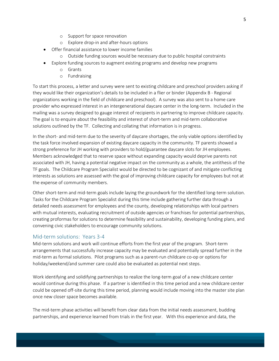- o Support for space renovation
- o Explore drop-in and after-hours options
- Offer financial assistance to lower income families
	- o Outside funding sources would be necessary due to public hospital constraints
- Explore funding sources to augment existing programs and develop new programs
	- o Grants
	- o Fundraising

To start this process, a letter and survey were sent to existing childcare and preschool providers asking if they would like their organization's details to be included in a flier or binder (Appendix B - Regional organizations working in the field of childcare and preschool). A survey was also sent to a home care provider who expressed interest in an intergenerational daycare center in the long-term. Included in the mailing was a survey designed to gauge interest of recipients in partnering to improve childcare capacity. The goal is to enquire about the feasibility and interest of short-term and mid-term collaborative solutions outlined by the TF. Collecting and collating that information is in progress.

In the short- and mid-term due to the severity of daycare shortages, the only viable options identified by the task force involved expansion of existing daycare capacity in the community. TF parents showed a strong preference for JH working with providers to hold/guarantee daycare slots for JH employees. Members acknowledged that to reserve space without expanding capacity would deprive parents not associated with JH, having a potential negative impact on the community as a whole, the antithesis of the TF goals. The Childcare Program Specialist would be directed to be cognizant of and mitigate conflicting interests as solutions are assessed with the goal of improving childcare capacity for employees but not at the expense of community members.

Other short-term and mid-term goals include laying the groundwork for the identified long-term solution. Tasks for the Childcare Program Specialist during this time include gathering further data through a detailed needs assessment for employees and the county, developing relationships with local partners with mutual interests, evaluating recruitment of outside agencies or franchises for potential partnerships, creating proformas for solutions to determine feasibility and sustainability, developing funding plans, and convening civic stakeholders to encourage community solutions.

#### <span id="page-4-0"></span>Mid-term solutions: Years 3-4

Mid-term solutions and work will continue efforts from the first year of the program. Short-term arrangements that successfully increase capacity may be evaluated and potentially spread further in the mid-term as formal solutions. Pilot programs such as a parent-run childcare co-op or options for holiday/weekend/and summer care could also be evaluated as potential next steps.

Work identifying and solidifying partnerships to realize the long-term goal of a new childcare center would continue during this phase. If a partner is identified in this time period and a new childcare center could be opened off-site during this time period, planning would include moving into the master site plan once new closer space becomes available.

The mid-term phase activities will benefit from clear data from the initial needs assessment, budding partnerships, and experience learned from trials in the first year. With this experience and data, the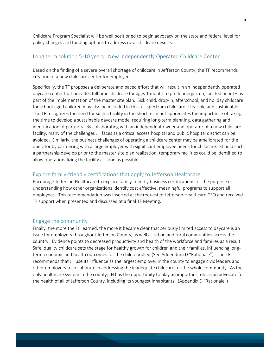Childcare Program Specialist will be well positioned to begin advocacy on the state and federal level for policy changes and funding options to address rural childcare deserts.

#### <span id="page-5-0"></span>Long term solution 5-10 years: New Independently Operated Childcare Center

Based on the finding of a severe overall shortage of childcare in Jefferson County, the TF recommends creation of a new childcare center for employees.

Specifically, the TF proposes a deliberate and paced effort that will result in an independently operated daycare center that provides full time childcare for ages 1 month to pre-kindergarten, located near JH as part of the implementation of the master site plan. Sick child, drop-in, afterschool, and holiday childcare for school-aged children may also be included in this full spectrum childcare if feasible and sustainable. The TF recognizes the need for such a facility in the short term but appreciates the importance of taking the time to develop a sustainable daycare model requiring long-term planning, data gathering and identification of partners. By collaborating with an independent owner and operator of a new childcare facility, many of the challenges JH faces as a critical access hospital and public hospital district can be avoided. Similarly, the business challenges of operating a childcare center may be ameliorated for the operator by partnering with a large employer with significant employee needs for childcare. Should such a partnership develop prior to the master site plan realization, temporary facilities could be identified to allow operationalizing the facility as soon as possible.

#### <span id="page-5-1"></span>Explore family-friendly certifications that apply to Jefferson Healthcare

Encourage Jefferson Healthcare to explore family-friendly business certifications for the purpose of understanding how other organizations identify cost effective, meaningful programs to support all employees. This recommendation was inserted at the request of Jefferson Healthcare CEO and received TF support when presented and discussed at a final TF Meeting.

#### <span id="page-5-2"></span>Engage the community

Finally, the more the TF learned, the more it became clear that seriously limited access to daycare is an issue for employers throughout Jefferson County, as well as urban and rural communities across the country. Evidence points to decreased productivity and health of the workforce and families as a result. Safe, quality childcare sets the stage for healthy growth for children and their families, influencing longterm economic and health outcomes for the child enrolled (See Addendum D "Rationale"). The TF recommends that JH use its influence as the largest employer in the county to engage civic leaders and other employers to collaborate in addressing the inadequate childcare for the whole community. As the only healthcare system in the county, JH has the opportunity to play an important role as an advocate for the health of all of Jefferson County, including its youngest inhabitants. (Appendix D "Rationale")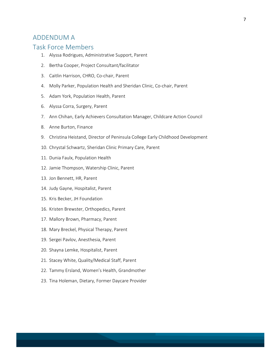## <span id="page-6-0"></span>ADDENDUM A

## Task Force Members

- 1. Alyssa Rodrigues, Administrative Support, Parent
- 2. Bertha Cooper, Project Consultant/facilitator
- 3. Caitlin Harrison, CHRO, Co-chair, Parent
- 4. Molly Parker, Population Health and Sheridan Clinic, Co-chair, Parent
- 5. Adam York, Population Health, Parent
- 6. Alyssa Corra, Surgery, Parent
- 7. Ann Chihan, Early Achievers Consultation Manager, Childcare Action Council
- 8. Anne Burton, Finance
- 9. Christina Heistand, Director of Peninsula College Early Childhood Development
- 10. Chrystal Schwartz, Sheridan Clinic Primary Care, Parent
- 11. Dunia Faulx, Population Health
- 12. Jamie Thompson, Watership Clinic, Parent
- 13. Jon Bennett, HR, Parent
- 14. Judy Gayne, Hospitalist, Parent
- 15. Kris Becker, JH Foundation
- 16. Kristen Brewster, Orthopedics, Parent
- 17. Mallory Brown, Pharmacy, Parent
- 18. Mary Breckel, Physical Therapy, Parent
- 19. Sergei Pavlov, Anesthesia, Parent
- 20. Shayna Lemke, Hospitalist, Parent
- 21. Stacey White, Quality/Medical Staff, Parent
- 22. Tammy Ersland, Women's Health, Grandmother
- 23. Tina Holeman, Dietary, Former Daycare Provider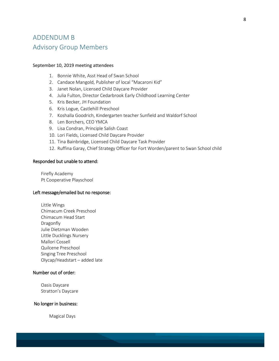# <span id="page-7-0"></span>ADDENDUM B Advisory Group Members

#### September 10, 2019 meeting attendees

- 1. Bonnie White, Asst Head of Swan School
- 2. Candace Mangold, Publisher of local "Macaroni Kid"
- 3. Janet Nolan, Licensed Child Daycare Provider
- 4. Julia Fulton, Director Cedarbrook Early Childhood Learning Center
- 5. Kris Becker, JH Foundation
- 6. Kris Logue, Castlehill Preschool
- 7. Koshalla Goodrich, Kindergarten teacher Sunfield and Waldorf School
- 8. Len Borchers, CEO YMCA
- 9. Lisa Condran, Principle Salish Coast
- 10. Lori Fields, Licensed Child Daycare Provider
- 11. Tina Bainbridge, Licensed Child Daycare Task Provider
- 12. Ruffina Garay, Chief Strategy Officer for Fort Worden/parent to Swan School child

#### Responded but unable to attend:

Firefly Academy Pt Cooperative Playschool

#### Left message/emailed but no response:

Little Wings Chimacum Creek Preschool Chimacum Head Start Dragonfly Julie Dietzman Wooden Little Ducklings Nursery Mallori Cossell Quilcene Preschool Singing Tree Preschool Olycap/Headstart – added late

#### Number out of order:

Oasis Daycare Stratton's Daycare

#### No longer in business:

Magical Days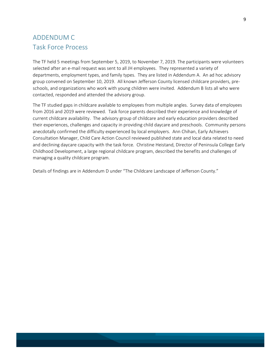# <span id="page-8-0"></span>ADDENDUM C Task Force Process

The TF held 5 meetings from September 5, 2019, to November 7, 2019. The participants were volunteers selected after an e-mail request was sent to all JH employees. They represented a variety of departments, employment types, and family types. They are listed in Addendum A. An ad hoc advisory group convened on September 10, 2019. All known Jefferson County licensed childcare providers, preschools, and organizations who work with young children were invited. Addendum B lists all who were contacted, responded and attended the advisory group.

The TF studied gaps in childcare available to employees from multiple angles. Survey data of employees from 2016 and 2019 were reviewed. Task force parents described their experience and knowledge of current childcare availability. The advisory group of childcare and early education providers described their experiences, challenges and capacity in providing child daycare and preschools. Community persons anecdotally confirmed the difficulty experienced by local employers. Ann Chihan, Early Achievers Consultation Manager, Child Care Action Council reviewed published state and local data related to need and declining daycare capacity with the task force. Christine Heistand, Director of Peninsula College Early Childhood Development, a large regional childcare program, described the benefits and challenges of managing a quality childcare program.

Details of findings are in Addendum D under "The Childcare Landscape of Jefferson County."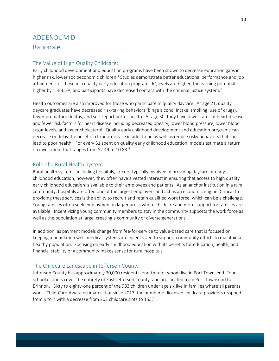# <span id="page-9-0"></span>ADDENDUM D Rationale

#### <span id="page-9-1"></span>The Value of High Quality Childcare:

Early childhood development and education programs have been shown to decrease education gaps in higher risk, lower socioeconomic children.<sup>1</sup> Studies demonstrate better educational performance and job attainment for those in a quality early education program. IQ levels are higher, the earning potential is higher by 1.3-3.5%, and participants have decreased contact with the criminal justice system.<sup>2</sup>

Health outcomes are also improved for those who participate in quality daycare. At age 21, quality daycare graduates have decreased risk-taking behaviors (binge alcohol intake, smoking, use of drugs), fewer premature deaths, and self-report better health. At age 30, they have lower rates of heart disease and fewer risk factors for heart disease including decreased obesity, lower blood pressure, lower blood sugar levels, and lower cholesterol. Quality early childhood development and education programs can decrease or delay the onset of chronic disease in adulthood as well as reduce risky behaviors that can lead to poor health.<sup>3</sup> For every \$1 spent on quality early childhood education, models estimate a return on investment that ranges from \$2.49 to 10.83.<sup>4</sup>

#### <span id="page-9-2"></span>Role of a Rural Health System:

Rural health systems, including hospitals, are not typically involved in providing daycare or early childhood education; however, they often have a vested interest in ensuring that access to high quality early childhood education is available to their employees and patients. As an anchor institution in a rural community, hospitals are often one of the largest employers and act as an economic engine. Critical to providing these services is the ability to recruit and retain qualified work force, which can be a challenge. Young families often seek employment in larger areas where childcare and more support for families are available. Incentivizing young community members to stay in the community supports the work force as well as the population at large, creating a community of diverse generations.

In addition, as payment models change from fee-for-service to value-based care that is focused on keeping a population well, medical systems are incentivized to support community efforts to maintain a healthy population. Focusing on early childhood education with its benefits for education, health, and financial stability of a community makes sense for rural hospitals.

#### <span id="page-9-3"></span>The Childcare Landscape in Jefferson County

Jefferson County has approximately 30,000 residents, one-third of whom live in Port Townsend. Four school districts cover the entirety of East Jefferson County, and are located from Port Townsend to Brinnon. Sixty to eighty-one percent of the 983 children under age six live in families where all parents work. Child-Care-Aware estimates that since 2013, the number of licensed childcare providers dropped from 9 to 7 with a decrease from 202 childcare slots to  $153.^5$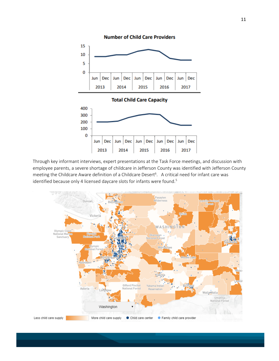

Through key informant interviews, expert presentations at the Task Force meetings, and discussion with employee parents, a severe shortage of childcare in Jefferson County was identified with Jefferson County meeting the Childcare Aware definition of a Childcare Desert<sup>6</sup>. A critical need for infant care was identified because only 4 licensed daycare slots for infants were found.<sup>5</sup>

2015

2016

2017

2014

2013

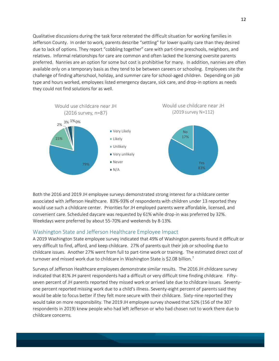Qualitative discussions during the task force reiterated the difficult situation for working families in Jefferson County. In order to work, parents describe "settling" for lower quality care than they desired due to lack of options. They report "cobbling together" care with part-time preschools, neighbors, and relatives. Informal relationships for care are common and often lacked the licensing oversite parents preferred. Nannies are an option for some but cost is prohibitive for many. In addition, nannies are often available only on a temporary basis as they tend to be between careers or schooling. Employees site the challenge of finding afterschool, holiday, and summer care for school-aged children. Depending on job type and hours worked, employees listed emergency daycare, sick care, and drop-in options as needs they could not find solutions for as well.



Both the 2016 and 2019 JH employee surveys demonstrated strong interest for a childcare center associated with Jefferson Healthcare. 83%-93% of respondents with children under 13 reported they would use such a childcare center. Priorities for JH employed parents were affordable, licensed, and convenient care. Scheduled daycare was requested by 61% while drop-in was preferred by 32%. Weekdays were preferred by about 55-70% and weekends by 8-13%.

#### <span id="page-11-0"></span>Washington State and Jefferson Healthcare Employee Impact

A 2019 Washington State employee survey indicated that 49% of Washington parents found it difficult or very difficult to find, afford, and keep childcare. 27% of parents quit their job or schooling due to childcare issues. Another 27% went from full to part-time work or training. The estimated direct cost of turnover and missed work due to childcare in Washington State is \$2.08 billion.<sup>7</sup>

Surveys of Jefferson Healthcare employees demonstrate similar results. The 2016 JH childcare survey indicated that 81% JH parent respondents had a difficult or very difficult time finding childcare. Fiftyseven percent of JH parents reported they missed work or arrived late due to childcare issues. Seventyone percent reported missing work due to a child's illness. Seventy-eight percent of parents said they would be able to focus better if they felt more secure with their childcare. Sixty-nine reported they would take on more responsibility. The 2019 JH employee survey showed that 52% (156 of the 307 respondents in 2019) knew people who had left Jefferson or who had chosen not to work there due to childcare concerns.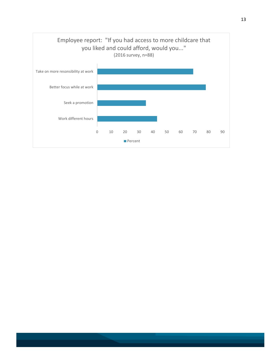<span id="page-12-0"></span>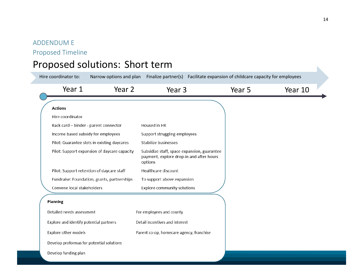# ADDENDUM E

Proposed Timeline

# Proposed solutions: Short term

| Hire coordinator to:                         | Narrow options and plan | Finalize partner(s) Facilitate expansion of childcare capacity for employees                       |        |         |  |
|----------------------------------------------|-------------------------|----------------------------------------------------------------------------------------------------|--------|---------|--|
| Year 1                                       | Year 2                  | Year 3                                                                                             | Year 5 | Year 10 |  |
| <b>Actions</b>                               |                         |                                                                                                    |        |         |  |
| Hire coordinator                             |                         |                                                                                                    |        |         |  |
| Rack card - binder - parent connector        |                         | Housed in HR                                                                                       |        |         |  |
| Income based subsidy for employees           |                         | Support struggling employees                                                                       |        |         |  |
| Pilot: Guarantee slots in existing daycares  |                         | Stabilize businesses                                                                               |        |         |  |
| Pilot: Support expansion of daycare capacity |                         | Subsidize staff, space expansion, guarantee<br>payment, explore drop-in and after hours<br>options |        |         |  |
| Pilot: Support retention of daycare staff    |                         | Healthcare discount                                                                                |        |         |  |
| Fundraise: Foundation, grants, partnerships  |                         | To support above expansion                                                                         |        |         |  |
| Convene local stakeholders                   |                         | Explore community solutions                                                                        |        |         |  |
| Planning                                     |                         |                                                                                                    |        |         |  |
| Detailed needs assessment                    |                         | For employees and county                                                                           |        |         |  |
| Explore and identify potential partners      |                         | Detail incentives and interest                                                                     |        |         |  |
| Explore other models                         |                         | Parent co-op, homecare agency, franchise                                                           |        |         |  |
| Develop proformas for potential solutions    |                         |                                                                                                    |        |         |  |
| Develop funding plan                         |                         |                                                                                                    |        |         |  |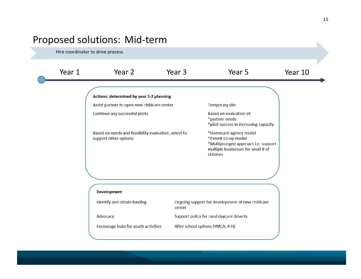# Proposed solutions: Mid-term

Hire coordinator to drive process

Year 1 The Year 2 Year 3 Tear 5 Year 10 Actions: determined by year 1-2 planning Assist partner to open new childcare center Temporary site Continue any successful pilots Based on evaluation of: \*partner needs \*pilot success in increasing capacity Based on needs and feasibility evaluation, select to \*Homecare agency model support other options \*Parent co-op model \*Multipronged approach i.e. support multiple businesses for small # of children Development Identify and obtain funding Ongoing support for development of new childcare center Support policy for rural daycare deserts Advocacy Encourage hubs for youth activities After school options (YMCA, 4-H)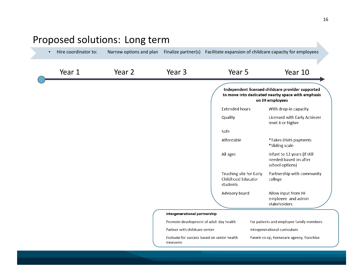#### <span id="page-15-0"></span>• Hire coordinator to: Narrow options and plan Finalize partner(s) Facilitate expansion of childcare capacity for employees Year 1 The Year 2 Year 3 Tear 5 Year 10 Independent licensed childcare provider supported to move into dedicated nearby space with emphasis on JH employees **Extended hours** With drop-in capacity Quality Licensed with Early Achiever level 4 or higher Safe Affordable \*Takes DSHS payments \*Sliding scale Infant to 12 years (if still All ages needed based on after school options) Partnership with community Teaching site for Early Childhood Educator college students Allow input from JH Advisory board employee and admin stakeholders Intergenerational partnership Promote development of adult day health For patients and employee family members Partner with childcare center Intergenerational curriculum Evaluate for success based on senior health Parent co-op, homecare agency, franchise measures

# Proposed solutions: Long term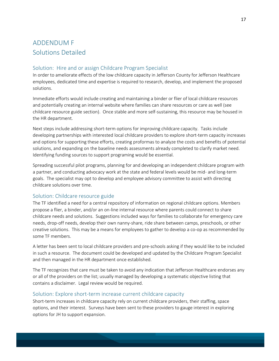# ADDENDUM F Solutions Detailed

### <span id="page-16-0"></span>Solution: Hire and or assign Childcare Program Specialist

In order to ameliorate effects of the low childcare capacity in Jefferson County for Jefferson Healthcare employees, dedicated time and expertise is required to research, develop, and implement the proposed solutions.

Immediate efforts would include creating and maintaining a binder or flier of local childcare resources and potentially creating an internal website where families can share resources or care as well (see childcare resource guide section). Once stable and more self-sustaining, this resource may be housed in the HR department.

Next steps include addressing short-term options for improving childcare capacity. Tasks include developing partnerships with interested local childcare providers to explore short-term capacity increases and options for supporting these efforts, creating proformas to analyze the costs and benefits of potential solutions, and expanding on the baseline needs assessments already completed to clarify market need. Identifying funding sources to support programing would be essential.

Spreading successful pilot programs, planning for and developing an independent childcare program with a partner, and conducting advocacy work at the state and federal levels would be mid- and long-term goals. The specialist may opt to develop and employee advisory committee to assist with directing childcare solutions over time.

#### <span id="page-16-1"></span>Solution: Childcare resource guide

The TF identified a need for a central repository of information on regional childcare options. Members propose a flier, a binder, and/or an on-line internal resource where parents could connect to share childcare needs and solutions. Suggestions included ways for families to collaborate for emergency care needs, drop-off needs, develop their own nanny-share, ride share between camps, preschools, or other creative solutions. This may be a means for employees to gather to develop a co-op as recommended by some TF members.

A letter has been sent to local childcare providers and pre-schools asking if they would like to be included in such a resource. The document could be developed and updated by the Childcare Program Specialist and then managed in the HR department once established.

The TF recognizes that care must be taken to avoid any indication that Jefferson Healthcare endorses any or all of the providers on the list; usually managed by developing a systematic objective listing that contains a disclaimer. Legal review would be required.

#### <span id="page-16-2"></span>Solution: Explore short-term increase current childcare capacity

Short-term increases in childcare capacity rely on current childcare providers, their staffing, space options, and their interest. Surveys have been sent to these providers to gauge interest in exploring options for JH to support expansion.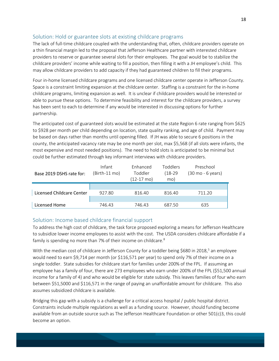## <span id="page-17-0"></span>Solution: Hold or guarantee slots at existing childcare programs

The lack of full-time childcare coupled with the understanding that, often, childcare providers operate on a thin financial margin led to the proposal that Jefferson Healthcare partner with interested childcare providers to reserve or guarantee several slots for their employees. The goal would be to stabilize the childcare providers' income while waiting to fill a position, then filling it with a JH employee's child. This may allow childcare providers to add capacity if they had guaranteed children to fill their programs.

Four in-home licensed childcare programs and one licensed childcare center operate in Jefferson County. Space is a constraint limiting expansion at the childcare center. Staffing is a constraint for the in-home childcare programs, limiting expansion as well. It is unclear if childcare providers would be interested or able to pursue these options. To determine feasibility and interest for the childcare providers, a survey has been sent to each to determine if any would be interested in discussing options for further partnership.

The anticipated cost of guaranteed slots would be estimated at the state Region 6 rate ranging from \$625 to \$928 per month per child depending on location, state quality ranking, and age of child. Payment may be based on days rather than months until opening filled. If JH was able to secure 6 positions in the county, the anticipated vacancy rate may be one month per slot, max \$5,568 (if all slots were infants, the most expensive and most needed positions). The need to hold slots is anticipated to be minimal but could be further estimated through key informant interviews with childcare providers.

| Base 2019 DSHS rate for:  | Infant<br>(Birth-11 mo) | Fnhanced<br>Toddler<br>$(12-17 \text{ mo})$ | <b>Toddlers</b><br>$(18-29)$<br>mo) | Preschool<br>(30 mo - 6 years) |
|---------------------------|-------------------------|---------------------------------------------|-------------------------------------|--------------------------------|
| Licensed Childcare Center | 927.80                  | 816.40                                      | 816.40                              | 711.20                         |
| Licensed Home             | 746.43                  | 746.43                                      | 687.50                              | 635                            |

## <span id="page-17-1"></span>Solution: Income based childcare financial support

To address the high cost of childcare, the task force proposed exploring a means for Jefferson Healthcare to subsidize lower income employees to assist with the cost. The USDA considers childcare affordable if a family is spending no more than 7% of their income on childcare.<sup>8</sup>

With the median cost of childcare in Jefferson County for a toddler being \$680 in 2018,<sup>5</sup> an employee would need to earn \$9,714 per month (or \$116,571 per year) to spend only 7% of their income on a single toddler. State subsidies for childcare start for families under 200% of the FPL. If assuming an employee has a family of four, there are 273 employees who earn under 200% of the FPL (\$51,500 annual income for a family of 4) and who would be eligible for state subsidy. This leaves families of four who earn between \$51,5000 and \$116,571 in the range of paying an unaffordable amount for childcare. This also assumes subsidized childcare is available.

Bridging this gap with a subsidy is a challenge for a critical access hospital / public hospital district. Constraints include multiple regulations as well as a funding source. However, should funding become available from an outside source such as The Jefferson Healthcare Foundation or other 501(c)3, this could become an option.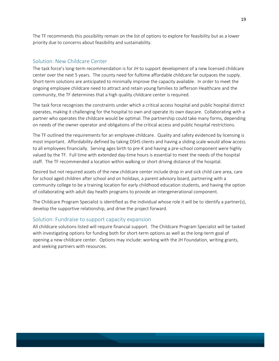The TF recommends this possibility remain on the list of options to explore for feasibility but as a lower priority due to concerns about feasibility and sustainability.

#### <span id="page-18-0"></span>Solution: New Childcare Center

The task force's long-term recommendation is for JH to support development of a new licensed childcare center over the next 5 years. The county need for fulltime affordable childcare far outpaces the supply. Short-term solutions are anticipated to minimally improve the capacity available. In order to meet the ongoing employee childcare need to attract and retain young families to Jefferson Healthcare and the community, the TF determines that a high quality childcare center is required.

The task force recognizes the constraints under which a critical access hospital and public hospital district operates, making it challenging for the hospital to own and operate its own daycare. Collaborating with a partner who operates the childcare would be optimal. The partnership could take many forms, depending on needs of the owner-operator and obligations of the critical access and public hospital restrictions.

The TF outlined the requirements for an employee childcare. Quality and safety evidenced by licensing is most important. Affordability defined by taking DSHS clients and having a sliding scale would allow access to all employees financially. Serving ages birth to pre-K and having a pre-school component were highly valued by the TF. Full time with extended day-time hours is essential to meet the needs of the hospital staff. The TF recommended a location within walking or short driving distance of the hospital.

Desired but not required assets of the new childcare center include drop in and sick child care area, care for school aged children after school and on holidays, a parent advisory board, partnering with a community college to be a training location for early childhood education students, and having the option of collaborating with adult day health programs to provide an intergenerational component.

The Childcare Program Specialist is identified as the individual whose role it will be to identify a partner(s), develop the supportive relationship, and drive the project forward.

#### <span id="page-18-1"></span>Solution: Fundraise to support capacity expansion

All childcare solutions listed will require financial support. The Childcare Program Specialist will be tasked with investigating options for funding both for short-term options as well as the long-term goal of opening a new childcare center. Options may include: working with the JH Foundation, writing grants, and seeking partners with resources.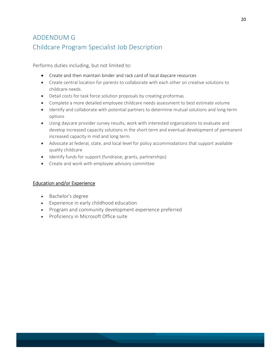# <span id="page-19-0"></span>ADDENDUM G Childcare Program Specialist Job Description

Performs duties including, but not limited to:

- Create and then maintain binder and rack card of local daycare resources
- Create central location for parents to collaborate with each other on creative solutions to childcare needs.
- Detail costs for task force solution proposals by creating proformas
- Complete a more detailed employee childcare needs assessment to best estimate volume
- Identify and collaborate with potential partners to determine mutual solutions and long-term options
- Using daycare provider survey results, work with interested organizations to evaluate and develop increased capacity solutions in the short term and eventual development of permanent increased capacity in mid and long term.
- Advocate at federal, state, and local level for policy accommodations that support available quality childcare
- Identify funds for support (fundraise, grants, partnerships)
- Create and work with employee advisory committee

#### Education and/or Experience

- Bachelor's degree
- Experience in early childhood education
- Program and community development experience preferred
- Proficiency in Microsoft Office suite